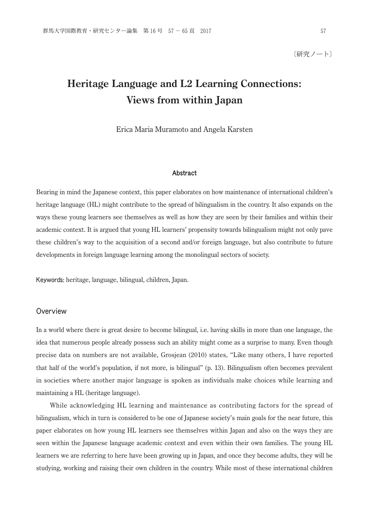〔研究ノート〕

# **Heritage Language and L2 Learning Connections: Views from within Japan**

Erica Maria Muramoto and Angela Karsten

#### Abstract

Bearing in mind the Japanese context, this paper elaborates on how maintenance of international children's heritage language (HL) might contribute to the spread of bilingualism in the country. It also expands on the ways these young learners see themselves as well as how they are seen by their families and within their academic context. It is argued that young HL learners' propensity towards bilingualism might not only pave these children's way to the acquisition of a second and/or foreign language, but also contribute to future developments in foreign language learning among the monolingual sectors of society.

Keywords: heritage, language, bilingual, children, Japan.

#### **Overview**

In a world where there is great desire to become bilingual, i.e. having skills in more than one language, the idea that numerous people already possess such an ability might come as a surprise to many. Even though precise data on numbers are not available, Grosjean (2010) states, "Like many others, I have reported that half of the world's population, if not more, is bilingual" (p. 13). Bilingualism often becomes prevalent in societies where another major language is spoken as individuals make choices while learning and maintaining a HL (heritage language).

 While acknowledging HL learning and maintenance as contributing factors for the spread of bilingualism, which in turn is considered to be one of Japanese society's main goals for the near future, this paper elaborates on how young HL learners see themselves within Japan and also on the ways they are seen within the Japanese language academic context and even within their own families. The young HL learners we are referring to here have been growing up in Japan, and once they become adults, they will be studying, working and raising their own children in the country. While most of these international children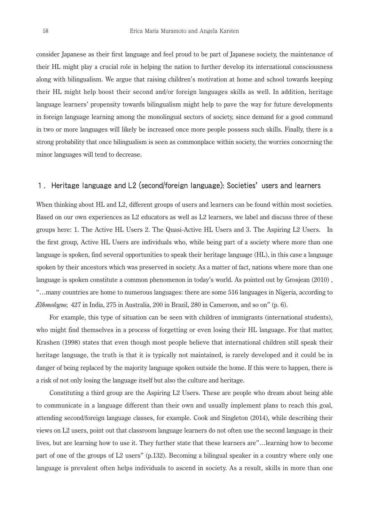consider Japanese as their first language and feel proud to be part of Japanese society, the maintenance of their HL might play a crucial role in helping the nation to further develop its international consciousness along with bilingualism. We argue that raising children's motivation at home and school towards keeping their HL might help boost their second and/or foreign languages skills as well. In addition, heritage language learners' propensity towards bilingualism might help to pave the way for future developments in foreign language learning among the monolingual sectors of society, since demand for a good command in two or more languages will likely be increased once more people possess such skills. Finally, there is a strong probability that once bilingualism is seen as commonplace within society, the worries concerning the minor languages will tend to decrease.

### 1.Heritage language and L2 (second/foreign language): Societies' users and learners

When thinking about HL and L2, different groups of users and learners can be found within most societies. Based on our own experiences as L2 educators as well as L2 learners, we label and discuss three of these groups here: 1. The Active HL Users 2. The Quasi-Active HL Users and 3. The Aspiring L2 Users. In the first group, Active HL Users are individuals who, while being part of a society where more than one language is spoken, find several opportunities to speak their heritage language (HL), in this case a language spoken by their ancestors which was preserved in society. As a matter of fact, nations where more than one language is spoken constitute a common phenomenon in today's world. As pointed out by Grosjean (2010) , "…many countries are home to numerous languages: there are some 516 languages in Nigeria, according to *Ethmologue,* 427 in India, 275 in Australia, 200 in Brazil, 280 in Cameroon, and so on" (p. 6).

 For example, this type of situation can be seen with children of immigrants (international students), who might find themselves in a process of forgetting or even losing their HL language. For that matter, Krashen (1998) states that even though most people believe that international children still speak their heritage language, the truth is that it is typically not maintained, is rarely developed and it could be in danger of being replaced by the majority language spoken outside the home. If this were to happen, there is a risk of not only losing the language itself but also the culture and heritage.

 Constituting a third group are the Aspiring L2 Users. These are people who dream about being able to communicate in a language different than their own and usually implement plans to reach this goal, attending second/foreign language classes, for example. Cook and Singleton (2014), while describing their views on L2 users, point out that classroom language learners do not often use the second language in their lives, but are learning how to use it. They further state that these learners are"…learning how to become part of one of the groups of L2 users" (p.132). Becoming a bilingual speaker in a country where only one language is prevalent often helps individuals to ascend in society. As a result, skills in more than one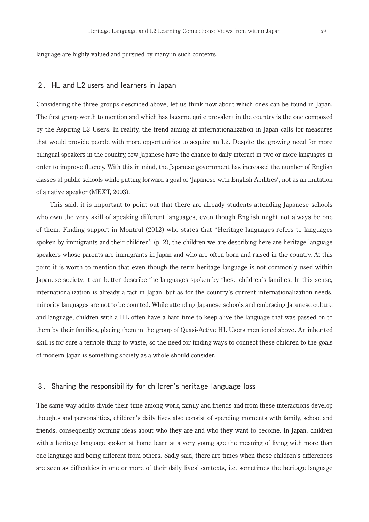language are highly valued and pursued by many in such contexts.

#### 2.HL and L2 users and learners in Japan

Considering the three groups described above, let us think now about which ones can be found in Japan. The first group worth to mention and which has become quite prevalent in the country is the one composed by the Aspiring L2 Users. In reality, the trend aiming at internationalization in Japan calls for measures that would provide people with more opportunities to acquire an L2. Despite the growing need for more bilingual speakers in the country, few Japanese have the chance to daily interact in two or more languages in order to improve fluency. With this in mind, the Japanese government has increased the number of English classes at public schools while putting forward a goal of 'Japanese with English Abilities', not as an imitation of a native speaker (MEXT, 2003).

 This said, it is important to point out that there are already students attending Japanese schools who own the very skill of speaking different languages, even though English might not always be one of them. Finding support in Montrul (2012) who states that "Heritage languages refers to languages spoken by immigrants and their children" (p. 2), the children we are describing here are heritage language speakers whose parents are immigrants in Japan and who are often born and raised in the country. At this point it is worth to mention that even though the term heritage language is not commonly used within Japanese society, it can better describe the languages spoken by these children's families. In this sense, internationalization is already a fact in Japan, but as for the country's current internationalization needs, minority languages are not to be counted. While attending Japanese schools and embracing Japanese culture and language, children with a HL often have a hard time to keep alive the language that was passed on to them by their families, placing them in the group of Quasi-Active HL Users mentioned above. An inherited skill is for sure a terrible thing to waste, so the need for finding ways to connect these children to the goals of modern Japan is something society as a whole should consider.

#### 3.Sharing the responsibility for children's heritage language loss

The same way adults divide their time among work, family and friends and from these interactions develop thoughts and personalities, children's daily lives also consist of spending moments with family, school and friends, consequently forming ideas about who they are and who they want to become. In Japan, children with a heritage language spoken at home learn at a very young age the meaning of living with more than one language and being different from others. Sadly said, there are times when these children's differences are seen as difficulties in one or more of their daily lives' contexts, i.e. sometimes the heritage language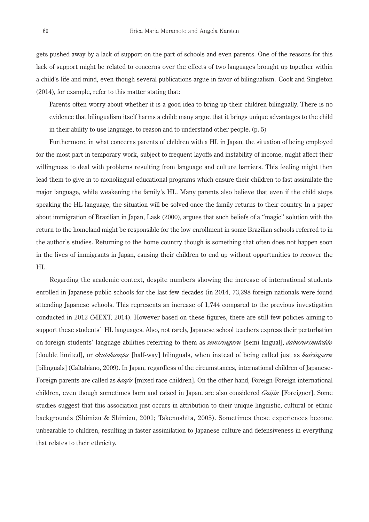gets pushed away by a lack of support on the part of schools and even parents. One of the reasons for this lack of support might be related to concerns over the effects of two languages brought up together within a child's life and mind, even though several publications argue in favor of bilingualism. Cook and Singleton (2014), for example, refer to this matter stating that:

 Parents often worry about whether it is a good idea to bring up their children bilingually. There is no evidence that bilingualism itself harms a child; many argue that it brings unique advantages to the child in their ability to use language, to reason and to understand other people. (p. 5)

 Furthermore, in what concerns parents of children with a HL in Japan, the situation of being employed for the most part in temporary work, subject to frequent layoffs and instability of income, might affect their willingness to deal with problems resulting from language and culture barriers. This feeling might then lead them to give in to monolingual educational programs which ensure their children to fast assimilate the major language, while weakening the family's HL. Many parents also believe that even if the child stops speaking the HL language, the situation will be solved once the family returns to their country. In a paper about immigration of Brazilian in Japan, Lask (2000), argues that such beliefs of a "magic" solution with the return to the homeland might be responsible for the low enrollment in some Brazilian schools referred to in the author's studies. Returning to the home country though is something that often does not happen soon in the lives of immigrants in Japan, causing their children to end up without opportunities to recover the HL.

 Regarding the academic context, despite numbers showing the increase of international students enrolled in Japanese public schools for the last few decades (in 2014, 73,298 foreign nationals were found attending Japanese schools. This represents an increase of 1,744 compared to the previous investigation conducted in 2012 (MEXT, 2014). However based on these figures, there are still few policies aiming to support these students' HL languages. Also, not rarely, Japanese school teachers express their perturbation on foreign students' language abilities referring to them as *semiringaru* [semi lingual], *dabururimiteddo* [double limited], or *chutohampa* [half-way] bilinguals, when instead of being called just as *bairingaru* [bilinguals] (Caltabiano, 2009). In Japan, regardless of the circumstances, international children of Japanese-Foreign parents are called as *haafu* [mixed race children]. On the other hand, Foreign-Foreign international children, even though sometimes born and raised in Japan, are also considered *Gaijin* [Foreigner]. Some studies suggest that this association just occurs in attribution to their unique linguistic, cultural or ethnic backgrounds (Shimizu & Shimizu, 2001; Takenoshita, 2005). Sometimes these experiences become unbearable to children, resulting in faster assimilation to Japanese culture and defensiveness in everything that relates to their ethnicity.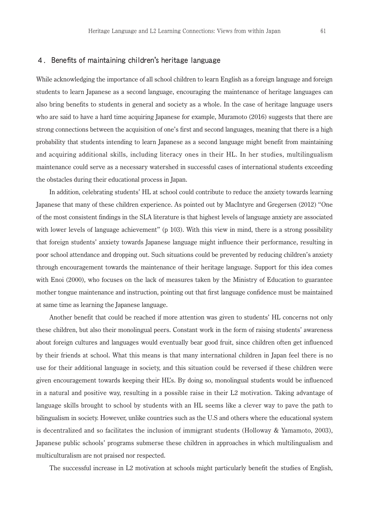#### 4.Benefits of maintaining children's heritage language

While acknowledging the importance of all school children to learn English as a foreign language and foreign students to learn Japanese as a second language, encouraging the maintenance of heritage languages can also bring benefits to students in general and society as a whole. In the case of heritage language users who are said to have a hard time acquiring Japanese for example, Muramoto (2016) suggests that there are strong connections between the acquisition of one's first and second languages, meaning that there is a high probability that students intending to learn Japanese as a second language might benefit from maintaining and acquiring additional skills, including literacy ones in their HL. In her studies, multilingualism maintenance could serve as a necessary watershed in successful cases of international students exceeding the obstacles during their educational process in Japan.

 In addition, celebrating students' HL at school could contribute to reduce the anxiety towards learning Japanese that many of these children experience. As pointed out by MacIntyre and Gregersen (2012) "One of the most consistent findings in the SLA literature is that highest levels of language anxiety are associated with lower levels of language achievement" (p 103). With this view in mind, there is a strong possibility that foreign students' anxiety towards Japanese language might influence their performance, resulting in poor school attendance and dropping out. Such situations could be prevented by reducing children's anxiety through encouragement towards the maintenance of their heritage language. Support for this idea comes with Enoi (2000), who focuses on the lack of measures taken by the Ministry of Education to guarantee mother tongue maintenance and instruction, pointing out that first language confidence must be maintained at same time as learning the Japanese language.

 Another benefit that could be reached if more attention was given to students' HL concerns not only these children, but also their monolingual peers. Constant work in the form of raising students' awareness about foreign cultures and languages would eventually bear good fruit, since children often get influenced by their friends at school. What this means is that many international children in Japan feel there is no use for their additional language in society, and this situation could be reversed if these children were given encouragement towards keeping their HL's. By doing so, monolingual students would be influenced in a natural and positive way, resulting in a possible raise in their L2 motivation. Taking advantage of language skills brought to school by students with an HL seems like a clever way to pave the path to bilingualism in society. However, unlike countries such as the U.S and others where the educational system is decentralized and so facilitates the inclusion of immigrant students (Holloway & Yamamoto, 2003), Japanese public schools' programs submerse these children in approaches in which multilingualism and multiculturalism are not praised nor respected.

The successful increase in L2 motivation at schools might particularly benefit the studies of English,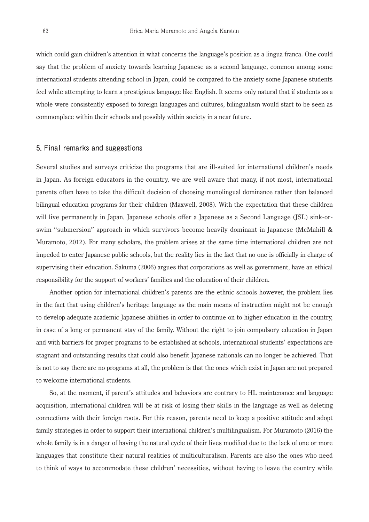which could gain children's attention in what concerns the language's position as a lingua franca. One could say that the problem of anxiety towards learning Japanese as a second language, common among some international students attending school in Japan, could be compared to the anxiety some Japanese students feel while attempting to learn a prestigious language like English. It seems only natural that if students as a whole were consistently exposed to foreign languages and cultures, bilingualism would start to be seen as commonplace within their schools and possibly within society in a near future.

#### 5. Final remarks and suggestions

Several studies and surveys criticize the programs that are ill-suited for international children's needs in Japan. As foreign educators in the country, we are well aware that many, if not most, international parents often have to take the difficult decision of choosing monolingual dominance rather than balanced bilingual education programs for their children (Maxwell, 2008). With the expectation that these children will live permanently in Japan, Japanese schools offer a Japanese as a Second Language (JSL) sink-orswim "submersion" approach in which survivors become heavily dominant in Japanese (McMahill & Muramoto, 2012). For many scholars, the problem arises at the same time international children are not impeded to enter Japanese public schools, but the reality lies in the fact that no one is officially in charge of supervising their education. Sakuma (2006) argues that corporations as well as government, have an ethical responsibility for the support of workers' families and the education of their children.

 Another option for international children's parents are the ethnic schools however, the problem lies in the fact that using children's heritage language as the main means of instruction might not be enough to develop adequate academic Japanese abilities in order to continue on to higher education in the country, in case of a long or permanent stay of the family. Without the right to join compulsory education in Japan and with barriers for proper programs to be established at schools, international students' expectations are stagnant and outstanding results that could also benefit Japanese nationals can no longer be achieved. That is not to say there are no programs at all, the problem is that the ones which exist in Japan are not prepared to welcome international students.

 So, at the moment, if parent's attitudes and behaviors are contrary to HL maintenance and language acquisition, international children will be at risk of losing their skills in the language as well as deleting connections with their foreign roots. For this reason, parents need to keep a positive attitude and adopt family strategies in order to support their international children's multilingualism. For Muramoto (2016) the whole family is in a danger of having the natural cycle of their lives modified due to the lack of one or more languages that constitute their natural realities of multiculturalism. Parents are also the ones who need to think of ways to accommodate these children' necessities, without having to leave the country while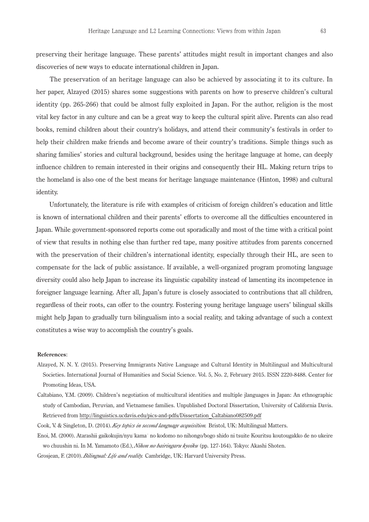preserving their heritage language. These parents' attitudes might result in important changes and also discoveries of new ways to educate international children in Japan.

 The preservation of an heritage language can also be achieved by associating it to its culture. In her paper, Alzayed (2015) shares some suggestions with parents on how to preserve children's cultural identity (pp. 265-266) that could be almost fully exploited in Japan. For the author, religion is the most vital key factor in any culture and can be a great way to keep the cultural spirit alive. Parents can also read books, remind children about their country's holidays, and attend their community's festivals in order to help their children make friends and become aware of their country's traditions. Simple things such as sharing families' stories and cultural background, besides using the heritage language at home, can deeply influence children to remain interested in their origins and consequently their HL. Making return trips to the homeland is also one of the best means for heritage language maintenance (Hinton, 1998) and cultural identity.

 Unfortunately, the literature is rife with examples of criticism of foreign children's education and little is known of international children and their parents' efforts to overcome all the difficulties encountered in Japan. While government-sponsored reports come out sporadically and most of the time with a critical point of view that results in nothing else than further red tape, many positive attitudes from parents concerned with the preservation of their children's international identity, especially through their HL, are seen to compensate for the lack of public assistance. If available, a well-organized program promoting language diversity could also help Japan to increase its linguistic capability instead of lamenting its incompetence in foreigner language learning. After all, Japan's future is closely associated to contributions that all children, regardless of their roots, can offer to the country. Fostering young heritage language users' bilingual skills might help Japan to gradually turn bilingualism into a social reality, and taking advantage of such a context constitutes a wise way to accomplish the country's goals.

#### **References**:

- Alzayed, N. N. Y. (2015). Preserving Immigrants Native Language and Cultural Identity in Multilingual and Multicultural Societies. International Journal of Humanities and Social Science. Vol. 5, No. 2, February 2015. ISSN 2220-8488. Center for Promoting Ideas, USA.
- Caltabiano, Y.M. (2009). Children's negotiation of multicultural identities and multiple jlanguages in Japan: An ethnographic study of Cambodian, Peruvian, and Vietnamese families. Unpublished Doctoral Dissertation, University of California Davis. Retrieved from http://linguistics.ucdavis.edu/pics-and-pdfs/Dissertation\_Caltabiano082509.pdf
- Cook, V. & Singleton, D. (2014). *Key topics in second language acquisition.* Bristol, UK: Multilingual Matters.
- Enoi, M. (2000). Atarashii gaikokujin/nyu¯kama¯ no kodomo no nihongo/bogo shido ni tsuite Kouritsu koutougakko de no ukeire wo chuushin ni. In M. Yamamoto (Ed.), *Nihon no bairingaru kyoiku* (pp. 127-164). Tokyo: Akashi Shoten.
- Grosjean, F. (2010). *Bilingual: Life and reality.* Cambridge, UK: Harvard University Press.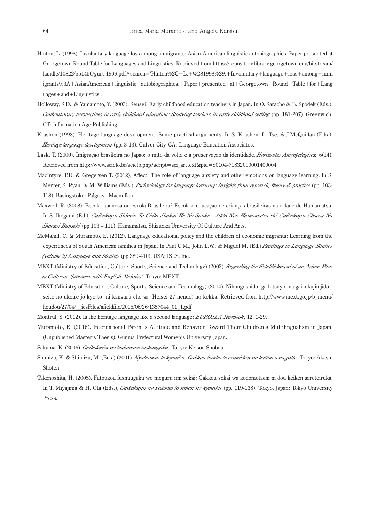- Hinton, L. (1998). Involuntary language loss among immigrants: Asian-American linguistic autobiographies. Paper presented at Georgetown Round Table for Languages and Linguistics. Retrieved from https://repository.library.georgetown.edu/bitstream/ handle/10822/551456/gurt-1999.pdf#search='Hinton%2C+L.+%281998%29.+Involuntary+language+loss+among+imm igrants%3A+AsianAmerican+linguistic+autobiographies.+Paper+presented+at+Georgetown+Round+Table+for+Lang uages+and+Linguistics'.
- Holloway, S.D., & Yamamoto, Y. (2003). Sensei! Early childhood education teachers in Japan. In O. Saracho & B. Spodek (Eds.), *Contemporary perspectives in early childhood education: Studying teachers in early childhood setting* (pp. 181-207). Greenwich, CT: Information Age Publishing.
- Krashen (1998). Heritage language development: Some practical arguments. In S. Krashen, L. Tse, & J.McQuillan (Eds.), *Heritage language development* (pp. 3-13). Culver City, CA: Language Education Associates.
- Lask, T. (2000). Imigração brasileira no Japão: o mito da volta e a preservação da identidade. *Horizontes Antropológicos,* 6(14). Retrieved from http://www.scielo.br/scielo.php?script=sci\_arttext&pid=S0104-71832000001400004
- MacIntyre, P.D. & Gregersen T. (2012), Affect: The role of language anxiety and other emotions on language learning. In S. Mercer, S. Ryan, & M. Williams (Eds.), *Pschychology for language learning: Insights from research, theory & practice* (pp. 103- 118). Basingstoke: Palgrave Macmillan.
- Maxwell, R. (2008). Escola japonesa ou escola Brasileira? Escola e educação de crianças brasileiras na cidade de Hamamatsu. In S. Ikegami (Ed.), *Gaikokujin Shimin To Chiki Shakai He No Sanka - 2006 Nen Hamamatsu-shi Gaikokujin Choosa No Shoosai Bunseki* (pp 103 – 111)*.* Hamamatsu, Shizuoka University Of Culture And Arts.
- McMahill, C. & Muramoto, E. (2012). Language educational policy and the children of economic migrants: Learning from the experiences of South American families in Japan. In Paul C.M., John L.W., & Miguel M. (Ed.) *Readings in Language Studies (Volume 3) Language and Identity* (pp.389-410). USA: ISLS, Inc.
- MEXT (Ministry of Education, Culture, Sports, Science and Technology) (2003). *Regarding the Establishment of an Action Plan to Cultivate 'Japanese with English Abilities'.* Tokyo: MEXT.
- MEXT (Ministry of Education, Culture, Sports, Science and Technology) (2014). Nihongoshido ga hitsuyo na gaikokujin jidoseito no ukeire jo kyo to ni kansuru cho sa (Heisei 27 nendo) no kekka. Retrieved from http://www.mext.go.jp/b\_menu/ houdou/27/04/\_\_icsFiles/afieldfile/2015/06/26/1357044\_01\_1.pdf
- Montrul, S. (2012). Is the heritage language like a second language? *EUROSLA Yearbook*, 12, 1-29.
- Muramoto, E. (2016). International Parent's Attitude and Behavior Toward Their Children's Multilingualism in Japan. (Unpublished Master's Thesis). Gunma Prefectural Women's University, Japan.
- Sakuma, K. (2006). *Gaikokujin no kodomono fushuugaku.* Tokyo: Keisou Shobou.
- Shimizu, K. & Shimizu, M. (Eds.) (2001). *Nyukamaa to kyouiku: Gakkou bunka to esunishiti no kattou o megutte.* Tokyo: Akashi Shoten.
- Takenoshita, H. (2005). Futoukou fushuugaku wo meguru imi sekai: Gakkou sekai wa kodomotachi ni dou keiken sareteiruka. In T. Miyajima & H. Ota (Eds.), *Gaikokujin no kodomo to nihon no kyouiku* (pp. 119-138). Tokyo, Japan: Tokyo University Press.